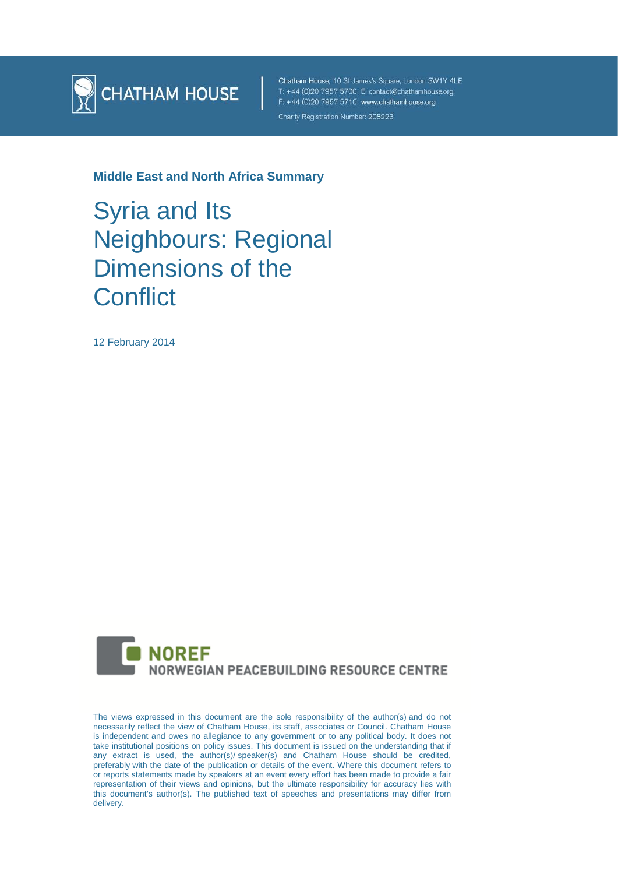

Chatham House, 10 St James's Square, London SW1Y 4LE T: +44 (0)20 7957 5700 E: contact@chathamhouse.org F: +44 (0)20 7957 5710 www.chathamhouse.org Charity Registration Number: 208223

**Middle East and North Africa Summary**

Syria and Its Neighbours: Regional Dimensions of the **Conflict** 

12 February 2014



The views expressed in this document are the sole responsibility of the author(s) and do not necessarily reflect the view of Chatham House, its staff, associates or Council. Chatham House is independent and owes no allegiance to any government or to any political body. It does not take institutional positions on policy issues. This document is issued on the understanding that if any extract is used, the author(s)/ speaker(s) and Chatham House should be credited, preferably with the date of the publication or details of the event. Where this document refers to or reports statements made by speakers at an event every effort has been made to provide a fair representation of their views and opinions, but the ultimate responsibility for accuracy lies with this document's author(s). The published text of speeches and presentations may differ from delivery.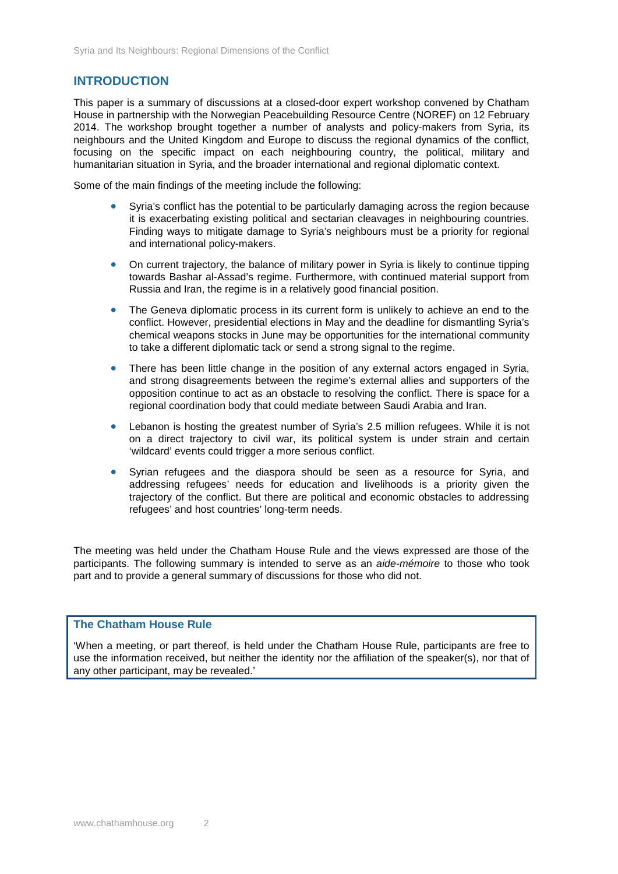# **INTRODUCTION**

This paper is a summary of discussions at a closed-door expert workshop convened by Chatham House in partnership with the Norwegian Peacebuilding Resource Centre (NOREF) on 12 February 2014. The workshop brought together a number of analysts and policy-makers from Syria, its neighbours and the United Kingdom and Europe to discuss the regional dynamics of the conflict, focusing on the specific impact on each neighbouring country, the political, military and humanitarian situation in Syria, and the broader international and regional diplomatic context.

Some of the main findings of the meeting include the following:

- Syria's conflict has the potential to be particularly damaging across the region because it is exacerbating existing political and sectarian cleavages in neighbouring countries. Finding ways to mitigate damage to Syria's neighbours must be a priority for regional and international policy-makers.
- On current trajectory, the balance of military power in Syria is likely to continue tipping towards Bashar al-Assad's regime. Furthermore, with continued material support from Russia and Iran, the regime is in a relatively good financial position.
- The Geneva diplomatic process in its current form is unlikely to achieve an end to the conflict. However, presidential elections in May and the deadline for dismantling Syria's chemical weapons stocks in June may be opportunities for the international community to take a different diplomatic tack or send a strong signal to the regime.
- There has been little change in the position of any external actors engaged in Syria, and strong disagreements between the regime's external allies and supporters of the opposition continue to act as an obstacle to resolving the conflict. There is space for a regional coordination body that could mediate between Saudi Arabia and Iran.
- Lebanon is hosting the greatest number of Syria's 2.5 million refugees. While it is not on a direct trajectory to civil war, its political system is under strain and certain 'wildcard' events could trigger a more serious conflict.
- Syrian refugees and the diaspora should be seen as a resource for Syria, and addressing refugees' needs for education and livelihoods is a priority given the trajectory of the conflict. But there are political and economic obstacles to addressing refugees' and host countries' long-term needs.

The meeting was held under the Chatham House Rule and the views expressed are those of the participants. The following summary is intended to serve as an *aide-mémoire* to those who took part and to provide a general summary of discussions for those who did not.

## **The Chatham House Rule**

'When a meeting, or part thereof, is held under the Chatham House Rule, participants are free to use the information received, but neither the identity nor the affiliation of the speaker(s), nor that of any other participant, may be revealed.'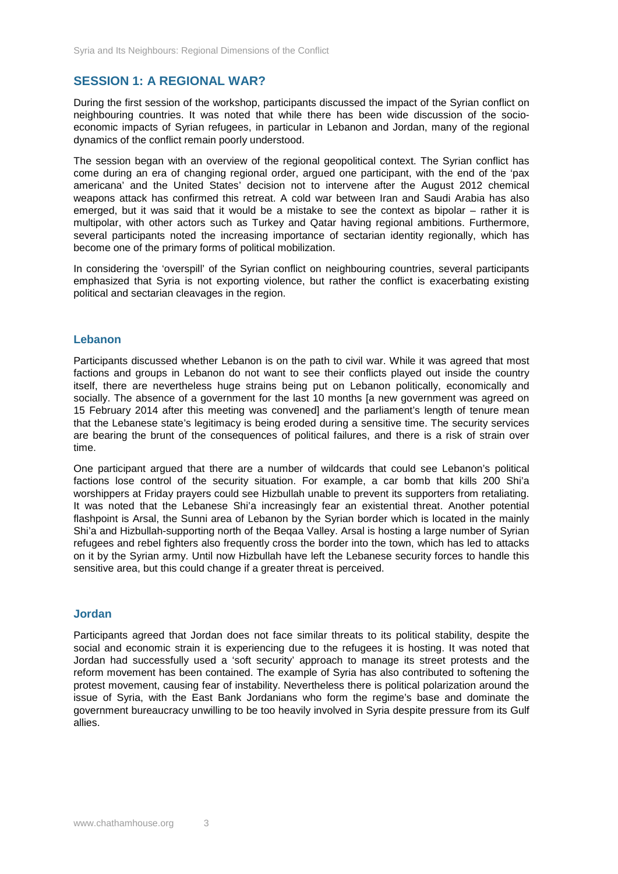# **SESSION 1: A REGIONAL WAR?**

During the first session of the workshop, participants discussed the impact of the Syrian conflict on neighbouring countries. It was noted that while there has been wide discussion of the socioeconomic impacts of Syrian refugees, in particular in Lebanon and Jordan, many of the regional dynamics of the conflict remain poorly understood.

The session began with an overview of the regional geopolitical context. The Syrian conflict has come during an era of changing regional order, argued one participant, with the end of the 'pax americana' and the United States' decision not to intervene after the August 2012 chemical weapons attack has confirmed this retreat. A cold war between Iran and Saudi Arabia has also emerged, but it was said that it would be a mistake to see the context as bipolar – rather it is multipolar, with other actors such as Turkey and Qatar having regional ambitions. Furthermore, several participants noted the increasing importance of sectarian identity regionally, which has become one of the primary forms of political mobilization.

In considering the 'overspill' of the Syrian conflict on neighbouring countries, several participants emphasized that Syria is not exporting violence, but rather the conflict is exacerbating existing political and sectarian cleavages in the region.

#### **Lebanon**

Participants discussed whether Lebanon is on the path to civil war. While it was agreed that most factions and groups in Lebanon do not want to see their conflicts played out inside the country itself, there are nevertheless huge strains being put on Lebanon politically, economically and socially. The absence of a government for the last 10 months [a new government was agreed on 15 February 2014 after this meeting was convened] and the parliament's length of tenure mean that the Lebanese state's legitimacy is being eroded during a sensitive time. The security services are bearing the brunt of the consequences of political failures, and there is a risk of strain over time.

One participant argued that there are a number of wildcards that could see Lebanon's political factions lose control of the security situation. For example, a car bomb that kills 200 Shi'a worshippers at Friday prayers could see Hizbullah unable to prevent its supporters from retaliating. It was noted that the Lebanese Shi'a increasingly fear an existential threat. Another potential flashpoint is Arsal, the Sunni area of Lebanon by the Syrian border which is located in the mainly Shi'a and Hizbullah-supporting north of the Beqaa Valley. Arsal is hosting a large number of Syrian refugees and rebel fighters also frequently cross the border into the town, which has led to attacks on it by the Syrian army. Until now Hizbullah have left the Lebanese security forces to handle this sensitive area, but this could change if a greater threat is perceived.

#### **Jordan**

Participants agreed that Jordan does not face similar threats to its political stability, despite the social and economic strain it is experiencing due to the refugees it is hosting. It was noted that Jordan had successfully used a 'soft security' approach to manage its street protests and the reform movement has been contained. The example of Syria has also contributed to softening the protest movement, causing fear of instability. Nevertheless there is political polarization around the issue of Syria, with the East Bank Jordanians who form the regime's base and dominate the government bureaucracy unwilling to be too heavily involved in Syria despite pressure from its Gulf allies.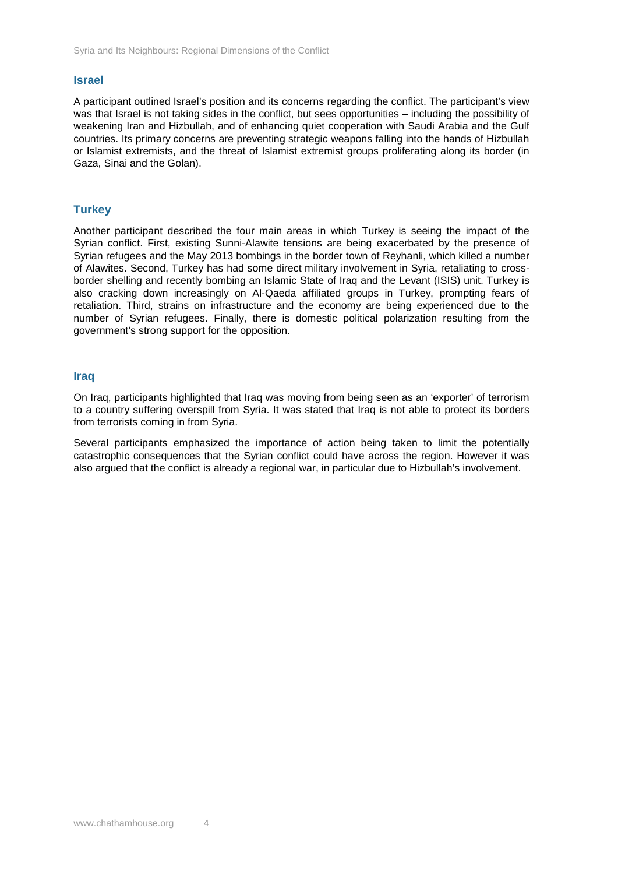#### **Israel**

A participant outlined Israel's position and its concerns regarding the conflict. The participant's view was that Israel is not taking sides in the conflict, but sees opportunities – including the possibility of weakening Iran and Hizbullah, and of enhancing quiet cooperation with Saudi Arabia and the Gulf countries. Its primary concerns are preventing strategic weapons falling into the hands of Hizbullah or Islamist extremists, and the threat of Islamist extremist groups proliferating along its border (in Gaza, Sinai and the Golan).

### **Turkey**

Another participant described the four main areas in which Turkey is seeing the impact of the Syrian conflict. First, existing Sunni-Alawite tensions are being exacerbated by the presence of Syrian refugees and the May 2013 bombings in the border town of Reyhanli, which killed a number of Alawites. Second, Turkey has had some direct military involvement in Syria, retaliating to crossborder shelling and recently bombing an Islamic State of Iraq and the Levant (ISIS) unit. Turkey is also cracking down increasingly on Al-Qaeda affiliated groups in Turkey, prompting fears of retaliation. Third, strains on infrastructure and the economy are being experienced due to the number of Syrian refugees. Finally, there is domestic political polarization resulting from the government's strong support for the opposition.

#### **Iraq**

On Iraq, participants highlighted that Iraq was moving from being seen as an 'exporter' of terrorism to a country suffering overspill from Syria. It was stated that Iraq is not able to protect its borders from terrorists coming in from Syria.

Several participants emphasized the importance of action being taken to limit the potentially catastrophic consequences that the Syrian conflict could have across the region. However it was also argued that the conflict is already a regional war, in particular due to Hizbullah's involvement.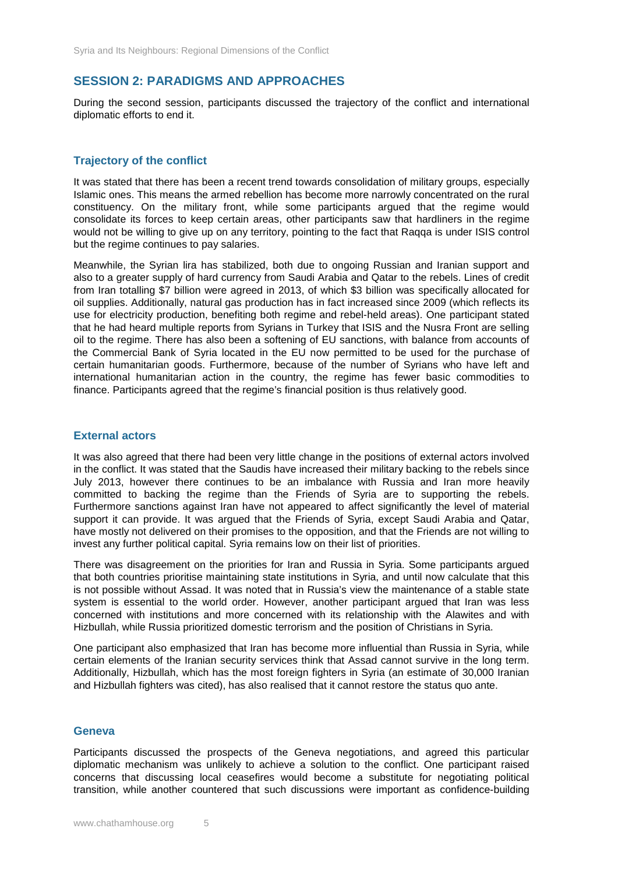# **SESSION 2: PARADIGMS AND APPROACHES**

During the second session, participants discussed the trajectory of the conflict and international diplomatic efforts to end it.

## **Trajectory of the conflict**

It was stated that there has been a recent trend towards consolidation of military groups, especially Islamic ones. This means the armed rebellion has become more narrowly concentrated on the rural constituency. On the military front, while some participants argued that the regime would consolidate its forces to keep certain areas, other participants saw that hardliners in the regime would not be willing to give up on any territory, pointing to the fact that Raqqa is under ISIS control but the regime continues to pay salaries.

Meanwhile, the Syrian lira has stabilized, both due to ongoing Russian and Iranian support and also to a greater supply of hard currency from Saudi Arabia and Qatar to the rebels. Lines of credit from Iran totalling \$7 billion were agreed in 2013, of which \$3 billion was specifically allocated for oil supplies. Additionally, natural gas production has in fact increased since 2009 (which reflects its use for electricity production, benefiting both regime and rebel-held areas). One participant stated that he had heard multiple reports from Syrians in Turkey that ISIS and the Nusra Front are selling oil to the regime. There has also been a softening of EU sanctions, with balance from accounts of the Commercial Bank of Syria located in the EU now permitted to be used for the purchase of certain humanitarian goods. Furthermore, because of the number of Syrians who have left and international humanitarian action in the country, the regime has fewer basic commodities to finance. Participants agreed that the regime's financial position is thus relatively good.

#### **External actors**

It was also agreed that there had been very little change in the positions of external actors involved in the conflict. It was stated that the Saudis have increased their military backing to the rebels since July 2013, however there continues to be an imbalance with Russia and Iran more heavily committed to backing the regime than the Friends of Syria are to supporting the rebels. Furthermore sanctions against Iran have not appeared to affect significantly the level of material support it can provide. It was argued that the Friends of Syria, except Saudi Arabia and Qatar, have mostly not delivered on their promises to the opposition, and that the Friends are not willing to invest any further political capital. Syria remains low on their list of priorities.

There was disagreement on the priorities for Iran and Russia in Syria. Some participants argued that both countries prioritise maintaining state institutions in Syria, and until now calculate that this is not possible without Assad. It was noted that in Russia's view the maintenance of a stable state system is essential to the world order. However, another participant argued that Iran was less concerned with institutions and more concerned with its relationship with the Alawites and with Hizbullah, while Russia prioritized domestic terrorism and the position of Christians in Syria.

One participant also emphasized that Iran has become more influential than Russia in Syria, while certain elements of the Iranian security services think that Assad cannot survive in the long term. Additionally, Hizbullah, which has the most foreign fighters in Syria (an estimate of 30,000 Iranian and Hizbullah fighters was cited), has also realised that it cannot restore the status quo ante.

#### **Geneva**

Participants discussed the prospects of the Geneva negotiations, and agreed this particular diplomatic mechanism was unlikely to achieve a solution to the conflict. One participant raised concerns that discussing local ceasefires would become a substitute for negotiating political transition, while another countered that such discussions were important as confidence-building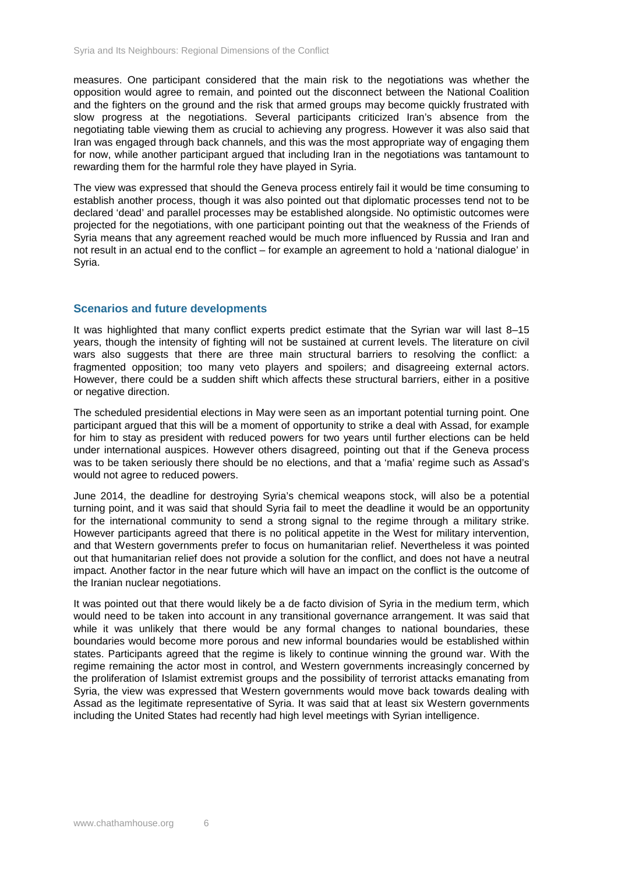measures. One participant considered that the main risk to the negotiations was whether the opposition would agree to remain, and pointed out the disconnect between the National Coalition and the fighters on the ground and the risk that armed groups may become quickly frustrated with slow progress at the negotiations. Several participants criticized Iran's absence from the negotiating table viewing them as crucial to achieving any progress. However it was also said that Iran was engaged through back channels, and this was the most appropriate way of engaging them for now, while another participant argued that including Iran in the negotiations was tantamount to rewarding them for the harmful role they have played in Syria.

The view was expressed that should the Geneva process entirely fail it would be time consuming to establish another process, though it was also pointed out that diplomatic processes tend not to be declared 'dead' and parallel processes may be established alongside. No optimistic outcomes were projected for the negotiations, with one participant pointing out that the weakness of the Friends of Syria means that any agreement reached would be much more influenced by Russia and Iran and not result in an actual end to the conflict – for example an agreement to hold a 'national dialogue' in Syria.

#### **Scenarios and future developments**

It was highlighted that many conflict experts predict estimate that the Syrian war will last 8–15 years, though the intensity of fighting will not be sustained at current levels. The literature on civil wars also suggests that there are three main structural barriers to resolving the conflict: a fragmented opposition; too many veto players and spoilers; and disagreeing external actors. However, there could be a sudden shift which affects these structural barriers, either in a positive or negative direction.

The scheduled presidential elections in May were seen as an important potential turning point. One participant argued that this will be a moment of opportunity to strike a deal with Assad, for example for him to stay as president with reduced powers for two years until further elections can be held under international auspices. However others disagreed, pointing out that if the Geneva process was to be taken seriously there should be no elections, and that a 'mafia' regime such as Assad's would not agree to reduced powers.

June 2014, the deadline for destroying Syria's chemical weapons stock, will also be a potential turning point, and it was said that should Syria fail to meet the deadline it would be an opportunity for the international community to send a strong signal to the regime through a military strike. However participants agreed that there is no political appetite in the West for military intervention, and that Western governments prefer to focus on humanitarian relief. Nevertheless it was pointed out that humanitarian relief does not provide a solution for the conflict, and does not have a neutral impact. Another factor in the near future which will have an impact on the conflict is the outcome of the Iranian nuclear negotiations.

It was pointed out that there would likely be a de facto division of Syria in the medium term, which would need to be taken into account in any transitional governance arrangement. It was said that while it was unlikely that there would be any formal changes to national boundaries, these boundaries would become more porous and new informal boundaries would be established within states. Participants agreed that the regime is likely to continue winning the ground war. With the regime remaining the actor most in control, and Western governments increasingly concerned by the proliferation of Islamist extremist groups and the possibility of terrorist attacks emanating from Syria, the view was expressed that Western governments would move back towards dealing with Assad as the legitimate representative of Syria. It was said that at least six Western governments including the United States had recently had high level meetings with Syrian intelligence.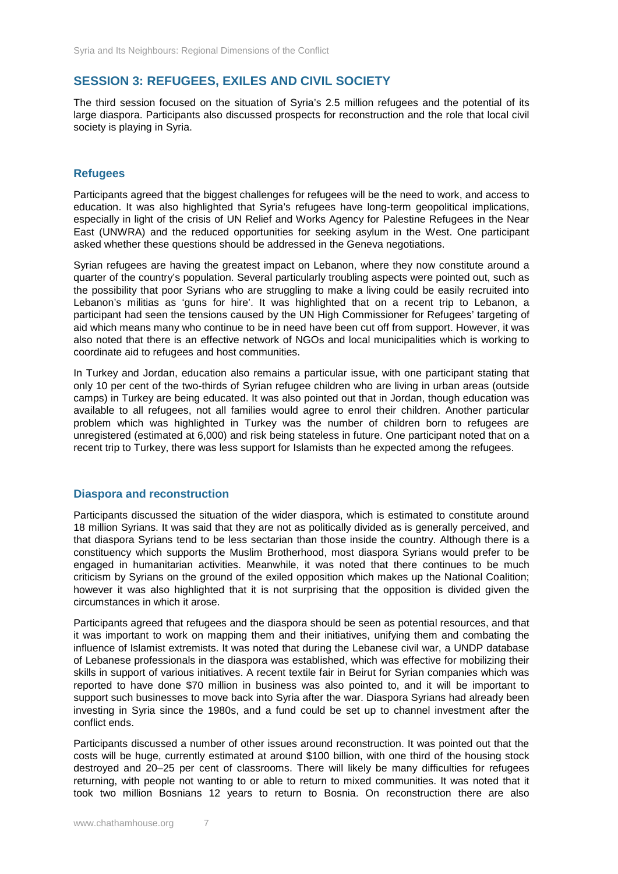# **SESSION 3: REFUGEES, EXILES AND CIVIL SOCIETY**

The third session focused on the situation of Syria's 2.5 million refugees and the potential of its large diaspora. Participants also discussed prospects for reconstruction and the role that local civil society is playing in Syria.

## **Refugees**

Participants agreed that the biggest challenges for refugees will be the need to work, and access to education. It was also highlighted that Syria's refugees have long-term geopolitical implications, especially in light of the crisis of UN Relief and Works Agency for Palestine Refugees in the Near East (UNWRA) and the reduced opportunities for seeking asylum in the West. One participant asked whether these questions should be addressed in the Geneva negotiations.

Syrian refugees are having the greatest impact on Lebanon, where they now constitute around a quarter of the country's population. Several particularly troubling aspects were pointed out, such as the possibility that poor Syrians who are struggling to make a living could be easily recruited into Lebanon's militias as 'guns for hire'. It was highlighted that on a recent trip to Lebanon, a participant had seen the tensions caused by the UN High Commissioner for Refugees' targeting of aid which means many who continue to be in need have been cut off from support. However, it was also noted that there is an effective network of NGOs and local municipalities which is working to coordinate aid to refugees and host communities.

In Turkey and Jordan, education also remains a particular issue, with one participant stating that only 10 per cent of the two-thirds of Syrian refugee children who are living in urban areas (outside camps) in Turkey are being educated. It was also pointed out that in Jordan, though education was available to all refugees, not all families would agree to enrol their children. Another particular problem which was highlighted in Turkey was the number of children born to refugees are unregistered (estimated at 6,000) and risk being stateless in future. One participant noted that on a recent trip to Turkey, there was less support for Islamists than he expected among the refugees.

#### **Diaspora and reconstruction**

Participants discussed the situation of the wider diaspora, which is estimated to constitute around 18 million Syrians. It was said that they are not as politically divided as is generally perceived, and that diaspora Syrians tend to be less sectarian than those inside the country. Although there is a constituency which supports the Muslim Brotherhood, most diaspora Syrians would prefer to be engaged in humanitarian activities. Meanwhile, it was noted that there continues to be much criticism by Syrians on the ground of the exiled opposition which makes up the National Coalition; however it was also highlighted that it is not surprising that the opposition is divided given the circumstances in which it arose.

Participants agreed that refugees and the diaspora should be seen as potential resources, and that it was important to work on mapping them and their initiatives, unifying them and combating the influence of Islamist extremists. It was noted that during the Lebanese civil war, a UNDP database of Lebanese professionals in the diaspora was established, which was effective for mobilizing their skills in support of various initiatives. A recent textile fair in Beirut for Syrian companies which was reported to have done \$70 million in business was also pointed to, and it will be important to support such businesses to move back into Syria after the war. Diaspora Syrians had already been investing in Syria since the 1980s, and a fund could be set up to channel investment after the conflict ends.

Participants discussed a number of other issues around reconstruction. It was pointed out that the costs will be huge, currently estimated at around \$100 billion, with one third of the housing stock destroyed and 20–25 per cent of classrooms. There will likely be many difficulties for refugees returning, with people not wanting to or able to return to mixed communities. It was noted that it took two million Bosnians 12 years to return to Bosnia. On reconstruction there are also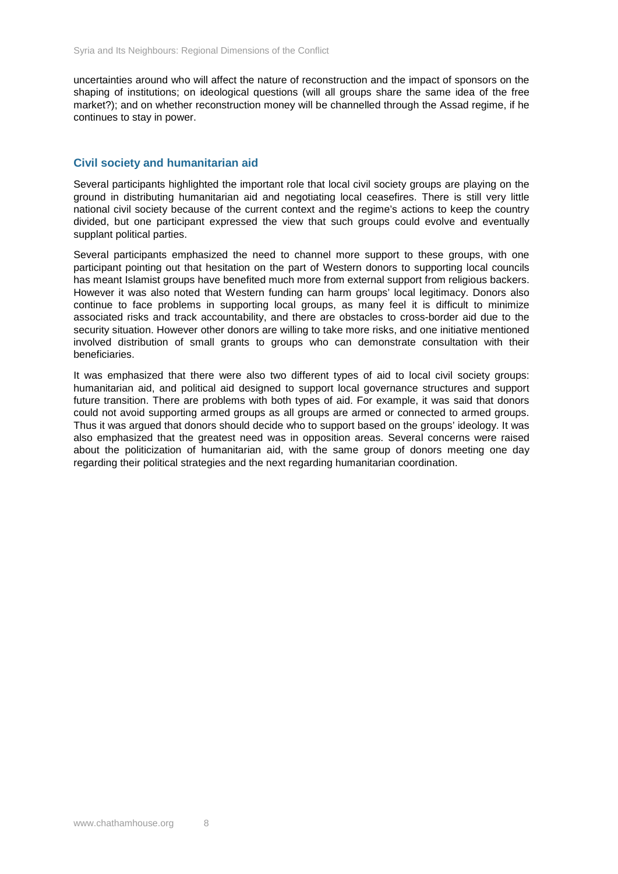uncertainties around who will affect the nature of reconstruction and the impact of sponsors on the shaping of institutions; on ideological questions (will all groups share the same idea of the free market?); and on whether reconstruction money will be channelled through the Assad regime, if he continues to stay in power.

#### **Civil society and humanitarian aid**

Several participants highlighted the important role that local civil society groups are playing on the ground in distributing humanitarian aid and negotiating local ceasefires. There is still very little national civil society because of the current context and the regime's actions to keep the country divided, but one participant expressed the view that such groups could evolve and eventually supplant political parties.

Several participants emphasized the need to channel more support to these groups, with one participant pointing out that hesitation on the part of Western donors to supporting local councils has meant Islamist groups have benefited much more from external support from religious backers. However it was also noted that Western funding can harm groups' local legitimacy. Donors also continue to face problems in supporting local groups, as many feel it is difficult to minimize associated risks and track accountability, and there are obstacles to cross-border aid due to the security situation. However other donors are willing to take more risks, and one initiative mentioned involved distribution of small grants to groups who can demonstrate consultation with their beneficiaries.

It was emphasized that there were also two different types of aid to local civil society groups: humanitarian aid, and political aid designed to support local governance structures and support future transition. There are problems with both types of aid. For example, it was said that donors could not avoid supporting armed groups as all groups are armed or connected to armed groups. Thus it was argued that donors should decide who to support based on the groups' ideology. It was also emphasized that the greatest need was in opposition areas. Several concerns were raised about the politicization of humanitarian aid, with the same group of donors meeting one day regarding their political strategies and the next regarding humanitarian coordination.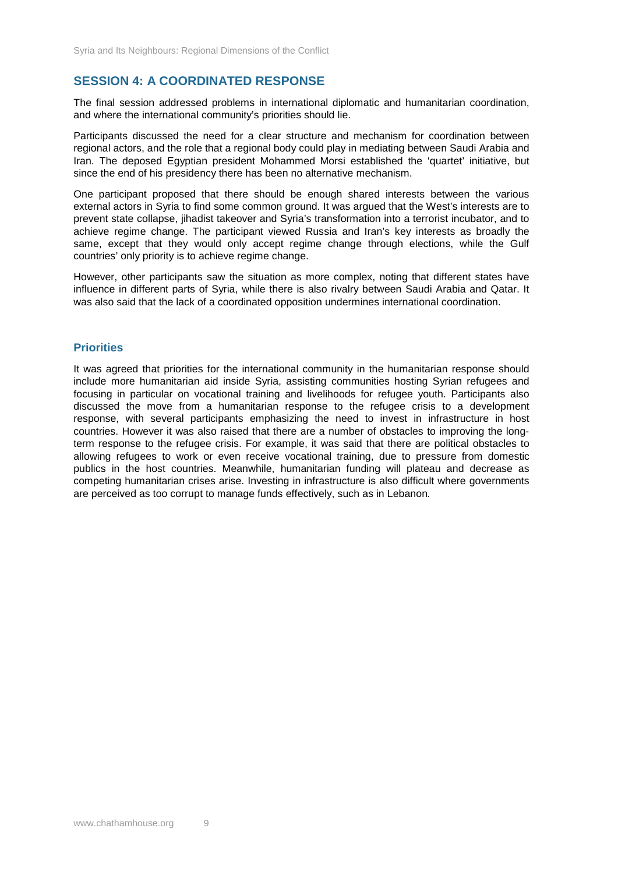# **SESSION 4: A COORDINATED RESPONSE**

The final session addressed problems in international diplomatic and humanitarian coordination, and where the international community's priorities should lie.

Participants discussed the need for a clear structure and mechanism for coordination between regional actors, and the role that a regional body could play in mediating between Saudi Arabia and Iran. The deposed Egyptian president Mohammed Morsi established the 'quartet' initiative, but since the end of his presidency there has been no alternative mechanism.

One participant proposed that there should be enough shared interests between the various external actors in Syria to find some common ground. It was argued that the West's interests are to prevent state collapse, jihadist takeover and Syria's transformation into a terrorist incubator, and to achieve regime change. The participant viewed Russia and Iran's key interests as broadly the same, except that they would only accept regime change through elections, while the Gulf countries' only priority is to achieve regime change.

However, other participants saw the situation as more complex, noting that different states have influence in different parts of Syria, while there is also rivalry between Saudi Arabia and Qatar. It was also said that the lack of a coordinated opposition undermines international coordination.

## **Priorities**

It was agreed that priorities for the international community in the humanitarian response should include more humanitarian aid inside Syria, assisting communities hosting Syrian refugees and focusing in particular on vocational training and livelihoods for refugee youth. Participants also discussed the move from a humanitarian response to the refugee crisis to a development response, with several participants emphasizing the need to invest in infrastructure in host countries. However it was also raised that there are a number of obstacles to improving the longterm response to the refugee crisis. For example, it was said that there are political obstacles to allowing refugees to work or even receive vocational training, due to pressure from domestic publics in the host countries. Meanwhile, humanitarian funding will plateau and decrease as competing humanitarian crises arise. Investing in infrastructure is also difficult where governments are perceived as too corrupt to manage funds effectively, such as in Lebanon*.*